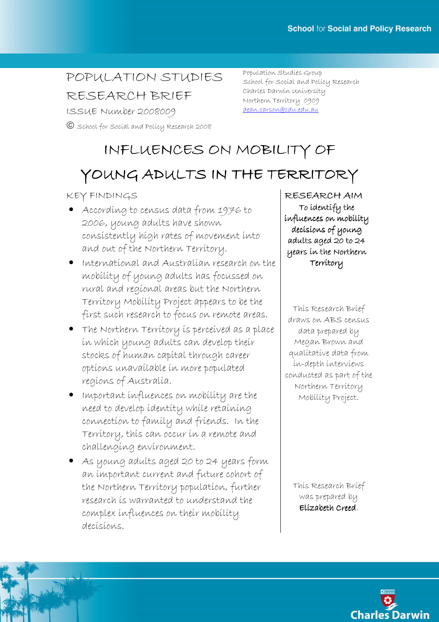## POPULATION STUDIES

RESEARCH BRIEF

ISSUE Number 2008009

School for Social and Policy Research 2008

Population Studies Group School for Social and Policy Research Charles Darwin University Northern Territory 0909 dean.carson@cdu.edu.au

# INFLUENCES ON MOBILITY OF

## YOUNG ADULTS IN THE TERRITORY

KEY FINDINGS

- According to census data from 1976 to 2006, young adults have shown consistently high rates of movement into and out of the Northern Territory.
- International and Australian research on the mobility of young adults has focussed on rural and regional areas but the Northern Territory Mobility Project appears to be the first such research to focus on remote areas.
- The Northern Territory is perceived as a place in which young adults can develop their stocks of human capital through career options unavailable in more populated regions of Australia.
- Important influences on mobility are the need to develop identity while retaining connection to family and friends. In the Territory, this can occur in a remote and challenging environment.
- As young adults aged 20 to 24 years form an important current and future cohort of the Northern Territory population, further research is warranted to understand the complex influences on their mobility decisions.

RESEARCH AIM To identify the influences on mobility decisions of young adults aged 20 to 24 years in the Northern years in the Northern Territory

This Research Brief draws on ABS census data prepared by Megan Brown and qualitative data from in-depth interviews conducted as part of the Northern Territory Mobility Project.

This Research Brief was prepared by Elízabeth Creed.

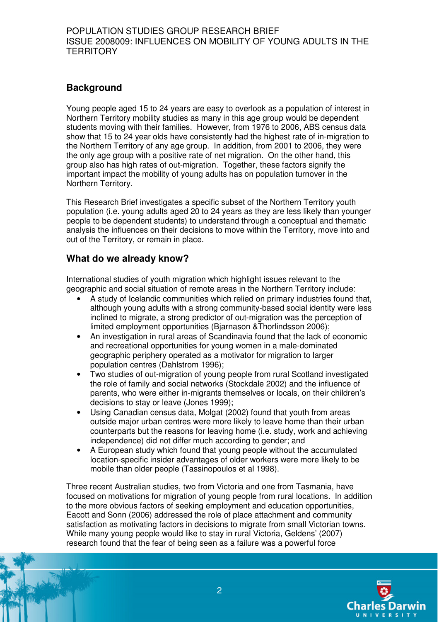## **Background**

Young people aged 15 to 24 years are easy to overlook as a population of interest in Northern Territory mobility studies as many in this age group would be dependent students moving with their families. However, from 1976 to 2006, ABS census data show that 15 to 24 year olds have consistently had the highest rate of in-migration to the Northern Territory of any age group. In addition, from 2001 to 2006, they were the only age group with a positive rate of net migration. On the other hand, this group also has high rates of out-migration. Together, these factors signify the important impact the mobility of young adults has on population turnover in the Northern Territory.

This Research Brief investigates a specific subset of the Northern Territory youth population (i.e. young adults aged 20 to 24 years as they are less likely than younger people to be dependent students) to understand through a conceptual and thematic analysis the influences on their decisions to move within the Territory, move into and out of the Territory, or remain in place.

## **What do we already know?**

International studies of youth migration which highlight issues relevant to the geographic and social situation of remote areas in the Northern Territory include:

- A study of Icelandic communities which relied on primary industries found that, although young adults with a strong community-based social identity were less inclined to migrate, a strong predictor of out-migration was the perception of limited employment opportunities (Bjarnason &Thorlindsson 2006);
- An investigation in rural areas of Scandinavia found that the lack of economic and recreational opportunities for young women in a male-dominated geographic periphery operated as a motivator for migration to larger population centres (Dahlstrom 1996);
- Two studies of out-migration of young people from rural Scotland investigated the role of family and social networks (Stockdale 2002) and the influence of parents, who were either in-migrants themselves or locals, on their children's decisions to stay or leave (Jones 1999);
- Using Canadian census data, Molgat (2002) found that youth from areas outside major urban centres were more likely to leave home than their urban counterparts but the reasons for leaving home (i.e. study, work and achieving independence) did not differ much according to gender; and
- A European study which found that young people without the accumulated location-specific insider advantages of older workers were more likely to be mobile than older people (Tassinopoulos et al 1998).

Three recent Australian studies, two from Victoria and one from Tasmania, have focused on motivations for migration of young people from rural locations. In addition to the more obvious factors of seeking employment and education opportunities, Eacott and Sonn (2006) addressed the role of place attachment and community satisfaction as motivating factors in decisions to migrate from small Victorian towns. While many young people would like to stay in rural Victoria, Geldens' (2007) research found that the fear of being seen as a failure was a powerful force

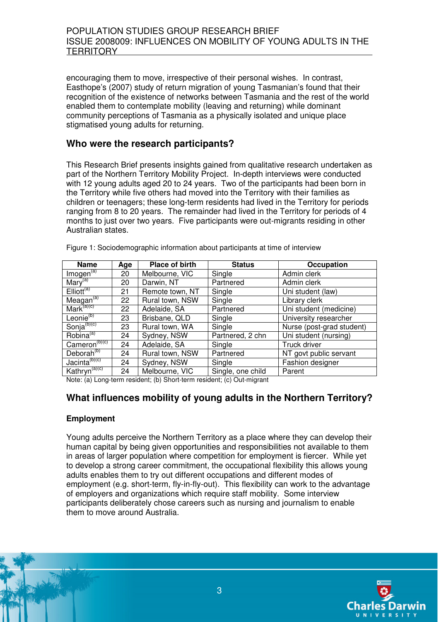encouraging them to move, irrespective of their personal wishes. In contrast, Easthope's (2007) study of return migration of young Tasmanian's found that their recognition of the existence of networks between Tasmania and the rest of the world enabled them to contemplate mobility (leaving and returning) while dominant community perceptions of Tasmania as a physically isolated and unique place stigmatised young adults for returning.

### **Who were the research participants?**

This Research Brief presents insights gained from qualitative research undertaken as part of the Northern Territory Mobility Project. In-depth interviews were conducted with 12 young adults aged 20 to 24 years. Two of the participants had been born in the Territory while five others had moved into the Territory with their families as children or teenagers; these long-term residents had lived in the Territory for periods ranging from 8 to 20 years. The remainder had lived in the Territory for periods of 4 months to just over two years. Five participants were out-migrants residing in other Australian states.

| <b>Name</b>               | Age | Place of birth  | <b>Status</b>     | Occupation                |
|---------------------------|-----|-----------------|-------------------|---------------------------|
| $Im$ ogen $\overline{a}$  | 20  | Melbourne, VIC  | Single            | Admin clerk               |
| Mary <sup>(a)</sup>       | 20  | Darwin, NT      | Partnered         | Admin clerk               |
| $Elliott^{(a)}$           | 21  | Remote town, NT | Single            | Uni student (law)         |
| Meagan <sup>(a)</sup>     | 22  | Rural town, NSW | Single            | Library clerk             |
| Mark <sup>(a)(c)</sup>    | 22  | Adelaide, SA    | Partnered         | Uni student (medicine)    |
| Leonie <sup>(b)</sup>     | 23  | Brisbane, QLD   | Single            | University researcher     |
| Sonja <sup>(b)(c)</sup>   | 23  | Rural town, WA  | Single            | Nurse (post-grad student) |
| Robina <sup>(a)</sup>     | 24  | Sydney, NSW     | Partnered, 2 chn  | Uni student (nursing)     |
| Cameron <sup>(b)(c)</sup> | 24  | Adelaide, SA    | Single            | Truck driver              |
| Deborah <sup>(b)</sup>    | 24  | Rural town, NSW | Partnered         | NT govt public servant    |
| Jacinta <sup>(b)(c)</sup> | 24  | Sydney, NSW     | Single            | Fashion designer          |
| Kathryn <sup>(a)(c)</sup> | 24  | Melbourne, VIC  | Single, one child | Parent                    |

Figure 1: Sociodemographic information about participants at time of interview

Note: (a) Long-term resident; (b) Short-term resident; (c) Out-migrant

### **What influences mobility of young adults in the Northern Territory?**

#### **Employment**

Young adults perceive the Northern Territory as a place where they can develop their human capital by being given opportunities and responsibilities not available to them in areas of larger population where competition for employment is fiercer. While yet to develop a strong career commitment, the occupational flexibility this allows young adults enables them to try out different occupations and different modes of employment (e.g. short-term, fly-in-fly-out). This flexibility can work to the advantage of employers and organizations which require staff mobility. Some interview participants deliberately chose careers such as nursing and journalism to enable them to move around Australia.

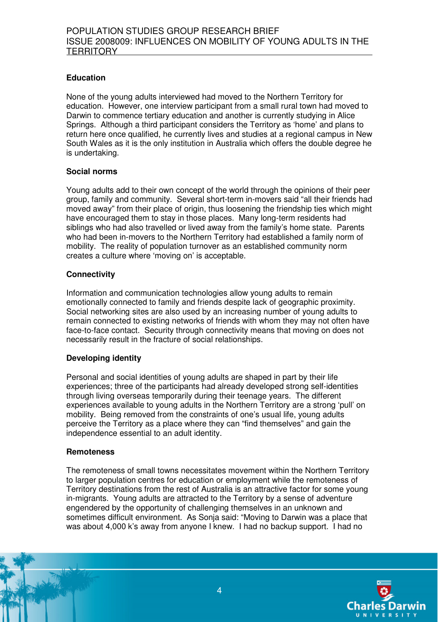#### **Education**

None of the young adults interviewed had moved to the Northern Territory for education. However, one interview participant from a small rural town had moved to Darwin to commence tertiary education and another is currently studying in Alice Springs. Although a third participant considers the Territory as 'home' and plans to return here once qualified, he currently lives and studies at a regional campus in New South Wales as it is the only institution in Australia which offers the double degree he is undertaking.

#### **Social norms**

Young adults add to their own concept of the world through the opinions of their peer group, family and community. Several short-term in-movers said "all their friends had moved away" from their place of origin, thus loosening the friendship ties which might have encouraged them to stay in those places. Many long-term residents had siblings who had also travelled or lived away from the family's home state. Parents who had been in-movers to the Northern Territory had established a family norm of mobility. The reality of population turnover as an established community norm creates a culture where 'moving on' is acceptable.

#### **Connectivity**

Information and communication technologies allow young adults to remain emotionally connected to family and friends despite lack of geographic proximity. Social networking sites are also used by an increasing number of young adults to remain connected to existing networks of friends with whom they may not often have face-to-face contact. Security through connectivity means that moving on does not necessarily result in the fracture of social relationships.

#### **Developing identity**

Personal and social identities of young adults are shaped in part by their life experiences; three of the participants had already developed strong self-identities through living overseas temporarily during their teenage years. The different experiences available to young adults in the Northern Territory are a strong 'pull' on mobility. Being removed from the constraints of one's usual life, young adults perceive the Territory as a place where they can "find themselves" and gain the independence essential to an adult identity.

#### **Remoteness**

The remoteness of small towns necessitates movement within the Northern Territory to larger population centres for education or employment while the remoteness of Territory destinations from the rest of Australia is an attractive factor for some young in-migrants. Young adults are attracted to the Territory by a sense of adventure engendered by the opportunity of challenging themselves in an unknown and sometimes difficult environment. As Sonja said: "Moving to Darwin was a place that was about 4,000 k's away from anyone I knew. I had no backup support. I had no